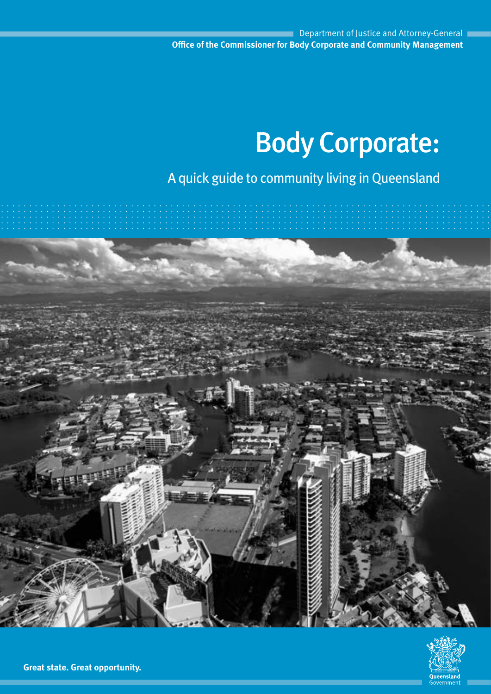# Body Corporate:

A quick guide to community living in Queensland



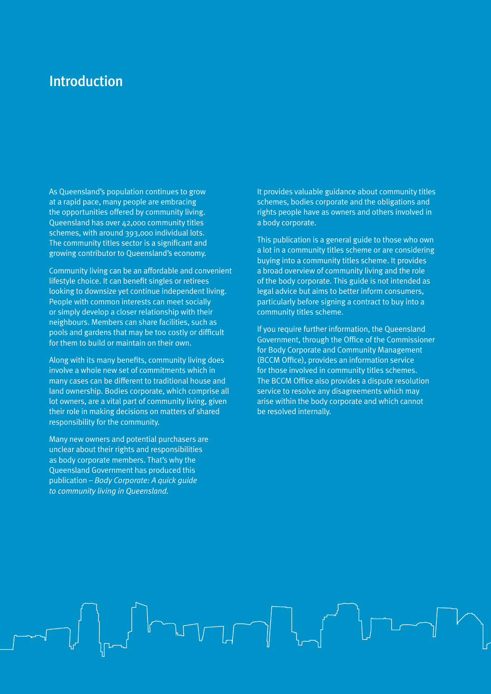### Introduction

As Queensland's population continues to grow at a rapid pace, many people are embracing the opportunities offered by community living. Queensland has over 42,000 community titles schemes, with around 393,000 individual lots. The community titles sector is a significant and growing contributor to Queensland's economy.

Community living can be an affordable and convenient lifestyle choice. It can benefit singles or retirees looking to downsize yet continue independent living. People with common interests can meet socially or simply develop a closer relationship with their neighbours. Members can share facilities, such as pools and gardens that may be too costly or difficult for them to build or maintain on their own.

Along with its many benefits, community living does involve a whole new set of commitments which in many cases can be different to traditional house and land ownership. Bodies corporate, which comprise all lot owners, are a vital part of community living, given their role in making decisions on matters of shared responsibility for the community.

Many new owners and potential purchasers are unclear about their rights and responsibilities as body corporate members. That's why the Queensland Government has produced this publication – *Body Corporate: A quick guide to community living in Queensland.* 

It provides valuable guidance about community titles schemes, bodies corporate and the obligations and rights people have as owners and others involved in a body corporate.

This publication is a general guide to those who own a lot in a community titles scheme or are considering buying into a community titles scheme. It provides a broad overview of community living and the role of the body corporate. This guide is not intended as legal advice but aims to better inform consumers, particularly before signing a contract to buy into a community titles scheme.

If you require further information, the Queensland Government, through the Office of the Commissioner for Body Corporate and Community Management (BCCM Office), provides an information service for those involved in community titles schemes. The BCCM Office also provides a dispute resolution service to resolve any disagreements which may arise within the body corporate and which cannot be resolved internally.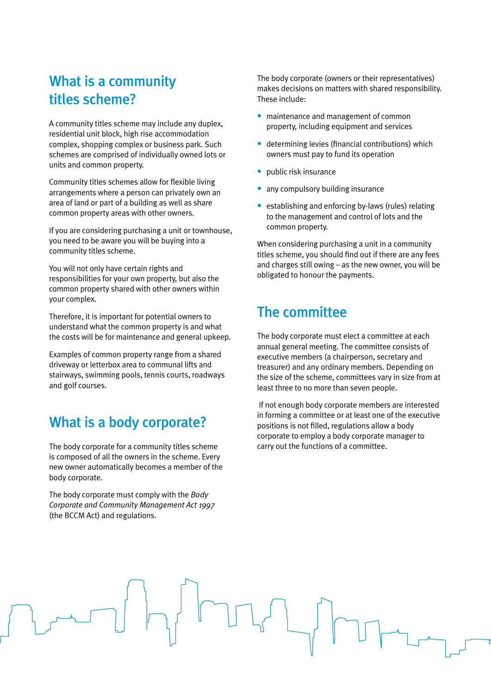### What is a community titles scheme?

A community titles scheme may include any duplex, residential unit block, high rise accommodation complex, shopping complex or business park. Such schemes are comprised of individually owned lots or units and common property.

Community titles schemes allow for flexible living arrangements where a person can privately own an area of land or part of a building as well as share common property areas with other owners.

If you are considering purchasing a unit or townhouse, you need to be aware you will be buying into a community titles scheme.

You will not only have certain rights and responsibilities for your own property, but also the common property shared with other owners within your complex.

Therefore, it is important for potential owners to understand what the common property is and what the costs will be for maintenance and general upkeep.

Examples of common property range from a shared driveway or letterbox area to communal lifts and stairways, swimming pools, tennis courts, roadways and golf courses.

#### What is a body corporate?

The body corporate for a community titles scheme is composed of all the owners in the scheme. Every new owner automatically becomes a member of the body corporate.

The body corporate must comply with the *Body Corporate and Community Management Act 1997* (the BCCM Act) and regulations.

The body corporate (owners or their representatives) makes decisions on matters with shared responsibility. These include:

- **•** maintenance and management of common property, including equipment and services
- **•** determining levies (financial contributions) which owners must pay to fund its operation
- **•** public risk insurance
- **•** any compulsory building insurance
- **•** establishing and enforcing by-laws (rules) relating to the management and control of lots and the common property.

When considering purchasing a unit in a community titles scheme, you should find out if there are any fees and charges still owing – as the new owner, you will be obligated to honour the payments.

### The committee

The body corporate must elect a committee at each annual general meeting. The committee consists of executive members (a chairperson, secretary and treasurer) and any ordinary members. Depending on the size of the scheme, committees vary in size from at least three to no more than seven people.

 If not enough body corporate members are interested in forming a committee or at least one of the executive positions is not filled, regulations allow a body corporate to employ a body corporate manager to carry out the functions of a committee.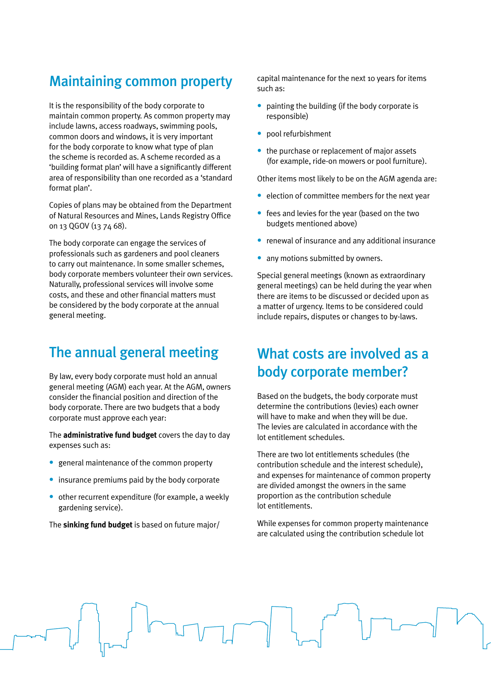## Maintaining common property

It is the responsibility of the body corporate to maintain common property. As common property may include lawns, access roadways, swimming pools, common doors and windows, it is very important for the body corporate to know what type of plan the scheme is recorded as. A scheme recorded as a 'building format plan' will have a significantly different area of responsibility than one recorded as a 'standard format plan'.

Copies of plans may be obtained from the Department of Natural Resources and Mines, Lands Registry Office on 13 QGOV (13 74 68).

The body corporate can engage the services of professionals such as gardeners and pool cleaners to carry out maintenance. In some smaller schemes, body corporate members volunteer their own services. Naturally, professional services will involve some costs, and these and other financial matters must be considered by the body corporate at the annual general meeting.

### The annual general meeting

By law, every body corporate must hold an annual general meeting (AGM) each year. At the AGM, owners consider the financial position and direction of the body corporate. There are two budgets that a body corporate must approve each year:

The **administrative fund budget** covers the day to day expenses such as:

- **•** general maintenance of the common property
- **•** insurance premiums paid by the body corporate
- **•** other recurrent expenditure (for example, a weekly gardening service).

The **sinking fund budget** is based on future major/

capital maintenance for the next 10 years for items such as:

- **•** painting the building (if the body corporate is responsible)
- **•** pool refurbishment
- **•** the purchase or replacement of major assets (for example, ride-on mowers or pool furniture).

Other items most likely to be on the AGM agenda are:

- **•** election of committee members for the next year
- **•** fees and levies for the year (based on the two budgets mentioned above)
- **•** renewal of insurance and any additional insurance
- any motions submitted by owners.

Special general meetings (known as extraordinary general meetings) can be held during the year when there are items to be discussed or decided upon as a matter of urgency. Items to be considered could include repairs, disputes or changes to by-laws.

### What costs are involved as a body corporate member?

Based on the budgets, the body corporate must determine the contributions (levies) each owner will have to make and when they will be due. The levies are calculated in accordance with the lot entitlement schedules.

There are two lot entitlements schedules (the contribution schedule and the interest schedule), and expenses for maintenance of common property are divided amongst the owners in the same proportion as the contribution schedule lot entitlements.

While expenses for common property maintenance are calculated using the contribution schedule lot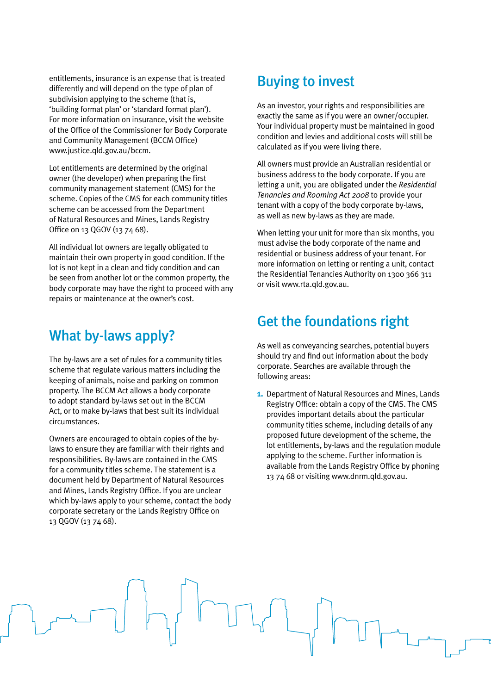entitlements, insurance is an expense that is treated differently and will depend on the type of plan of subdivision applying to the scheme (that is, 'building format plan' or 'standard format plan'). For more information on insurance, visit the website of the Office of the Commissioner for Body Corporate and Community Management (BCCM Office) www.justice.qld.gov.au/bccm.

Lot entitlements are determined by the original owner (the developer) when preparing the first community management statement (CMS) for the scheme. Copies of the CMS for each community titles scheme can be accessed from the Department of Natural Resources and Mines, Lands Registry Office on 13 QGOV (13 74 68).

All individual lot owners are legally obligated to maintain their own property in good condition. If the lot is not kept in a clean and tidy condition and can be seen from another lot or the common property, the body corporate may have the right to proceed with any repairs or maintenance at the owner's cost.

### What by-laws apply?

The by-laws are a set of rules for a community titles scheme that regulate various matters including the keeping of animals, noise and parking on common property. The BCCM Act allows a body corporate to adopt standard by-laws set out in the BCCM Act, or to make by-laws that best suit its individual circumstances.

Owners are encouraged to obtain copies of the bylaws to ensure they are familiar with their rights and responsibilities. By-laws are contained in the CMS for a community titles scheme. The statement is a document held by Department of Natural Resources and Mines, Lands Registry Office. If you are unclear which by-laws apply to your scheme, contact the body corporate secretary or the Lands Registry Office on 13 QGOV (13 74 68).

### Buying to invest

As an investor, your rights and responsibilities are exactly the same as if you were an owner/occupier. Your individual property must be maintained in good condition and levies and additional costs will still be calculated as if you were living there.

All owners must provide an Australian residential or business address to the body corporate. If you are letting a unit, you are obligated under the *Residential Tenancies and Rooming Act 2008* to provide your tenant with a copy of the body corporate by-laws, as well as new by-laws as they are made.

When letting your unit for more than six months, you must advise the body corporate of the name and residential or business address of your tenant. For more information on letting or renting a unit, contact the Residential Tenancies Authority on 1300 366 311 or visit www.rta.qld.gov.au.

### Get the foundations right

As well as conveyancing searches, potential buyers should try and find out information about the body corporate. Searches are available through the following areas:

**1.** Department of Natural Resources and Mines, Lands Registry Office: obtain a copy of the CMS. The CMS provides important details about the particular community titles scheme, including details of any proposed future development of the scheme, the lot entitlements, by-laws and the regulation module applying to the scheme. Further information is available from the Lands Registry Office by phoning 13 74 68 or visiting www.dnrm.qld.gov.au.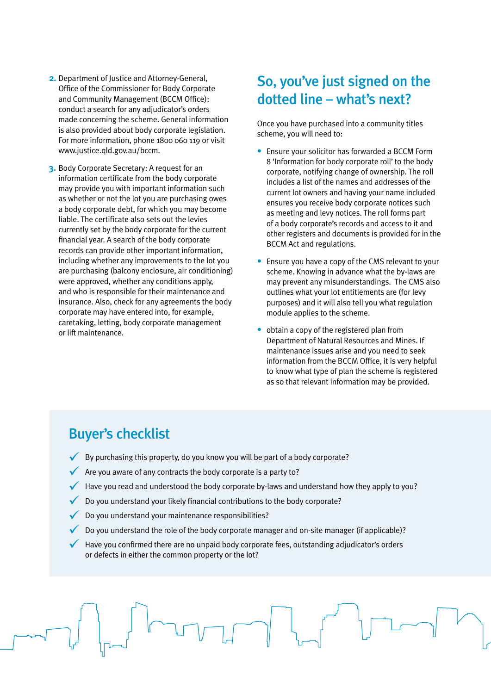- **2.** Department of Justice and Attorney-General, Office of the Commissioner for Body Corporate and Community Management (BCCM Office): conduct a search for any adjudicator's orders made concerning the scheme. General information is also provided about body corporate legislation. For more information, phone 1800 060 119 or visit www.justice.qld.gov.au/bccm.
- **3.** Body Corporate Secretary: A request for an information certificate from the body corporate may provide you with important information such as whether or not the lot you are purchasing owes a body corporate debt, for which you may become liable. The certificate also sets out the levies currently set by the body corporate for the current financial year. A search of the body corporate records can provide other important information, including whether any improvements to the lot you are purchasing (balcony enclosure, air conditioning) were approved, whether any conditions apply, and who is responsible for their maintenance and insurance. Also, check for any agreements the body corporate may have entered into, for example, caretaking, letting, body corporate management or lift maintenance.

### So, you've just signed on the dotted line – what's next?

Once you have purchased into a community titles scheme, you will need to:

- **•** Ensure your solicitor has forwarded a BCCM Form 8 'Information for body corporate roll' to the body corporate, notifying change of ownership. The roll includes a list of the names and addresses of the current lot owners and having your name included ensures you receive body corporate notices such as meeting and levy notices. The roll forms part of a body corporate's records and access to it and other registers and documents is provided for in the BCCM Act and regulations.
- **•** Ensure you have a copy of the CMS relevant to your scheme. Knowing in advance what the by-laws are may prevent any misunderstandings. The CMS also outlines what your lot entitlements are (for levy purposes) and it will also tell you what regulation module applies to the scheme.
- **•** obtain a copy of the registered plan from Department of Natural Resources and Mines. If maintenance issues arise and you need to seek information from the BCCM Office, it is very helpful to know what type of plan the scheme is registered as so that relevant information may be provided.

### Buyer's checklist

- $\checkmark$  By purchasing this property, do you know you will be part of a body corporate?
- Are you aware of any contracts the body corporate is a party to?
- $\blacktriangledown$  Have you read and understood the body corporate by-laws and understand how they apply to you?
- $\bigvee$  Do you understand your likely financial contributions to the body corporate?
- Do you understand your maintenance responsibilities?
- Do you understand the role of the body corporate manager and on-site manager (if applicable)?
- Have you confirmed there are no unpaid body corporate fees, outstanding adjudicator's orders or defects in either the common property or the lot?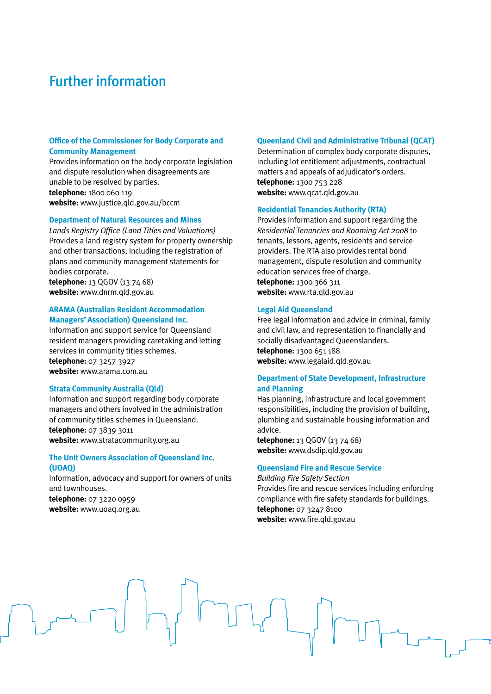### Further information

#### **Office of the Commissioner for Body Corporate and Community Management**

Provides information on the body corporate legislation and dispute resolution when disagreements are unable to be resolved by parties. **telephone:** 1800 060 119 **website:** www.justice.qld.gov.au/bccm

#### **Department of Natural Resources and Mines**

*Lands Registry Office (Land Titles and Valuations)* Provides a land registry system for property ownership and other transactions, including the registration of plans and community management statements for bodies corporate.

**telephone:** 13 QGOV (13 74 68) **website:** www.dnrm.qld.gov.au

#### **ARAMA (Australian Resident Accommodation Managers' Association) Queensland Inc.**

Information and support service for Queensland resident managers providing caretaking and letting services in community titles schemes.

**telephone:** 07 3257 3927 **website:** www.arama.com.au

#### **Strata Community Australia (Qld)**

Information and support regarding body corporate managers and others involved in the administration of community titles schemes in Queensland. **telephone:** 07 3839 3011 **website:** www.stratacommunity.org.au

#### **The Unit Owners Association of Queensland Inc. (UOAQ)**

Information, advocacy and support for owners of units and townhouses. **telephone:** 07 3220 0959 **website:** www.uoaq.org.au

#### **Queenland Civil and Administrative Tribunal (QCAT)**

Determination of complex body corporate disputes, including lot entitlement adjustments, contractual matters and appeals of adjudicator's orders. **telephone:** 1300 753 228 **website:** www.qcat.qld.gov.au

#### **Residential Tenancies Authority (RTA)**

Provides information and support regarding the *Residential Tenancies and Rooming Act 2008* to tenants, lessors, agents, residents and service providers. The RTA also provides rental bond management, dispute resolution and community education services free of charge. **telephone:** 1300 366 311 **website:** www.rta.qld.gov.au

#### **Legal Aid Queensland**

Free legal information and advice in criminal, family and civil law, and representation to financially and socially disadvantaged Queenslanders. **telephone:** 1300 651 188 **website:** www.legalaid.qld.gov.au

#### **Department of State Development, Infrastructure and Planning**

Has planning, infrastructure and local government responsibilities, including the provision of building, plumbing and sustainable housing information and advice.

**telephone:** 13 QGOV (13 74 68) **website:** www.dsdip.qld.gov.au

#### **Queensland Fire and Rescue Service**

*Building Fire Safety Section* Provides fire and rescue services including enforcing compliance with fire safety standards for buildings. **telephone:** 07 3247 8100 **website:** www.fire.qld.gov.au